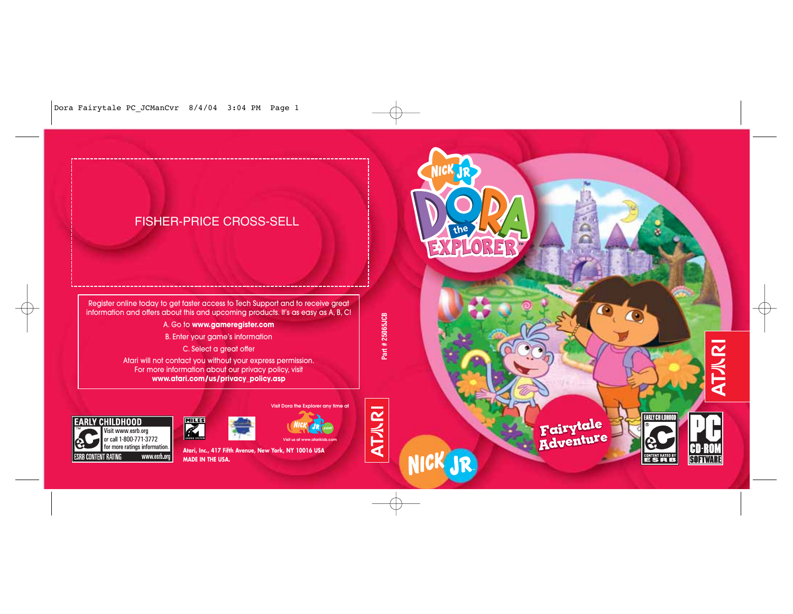

NICK JR

**AT/IRI** 



 $\bullet$ 

 $\overline{\mathbf{O}}$ 



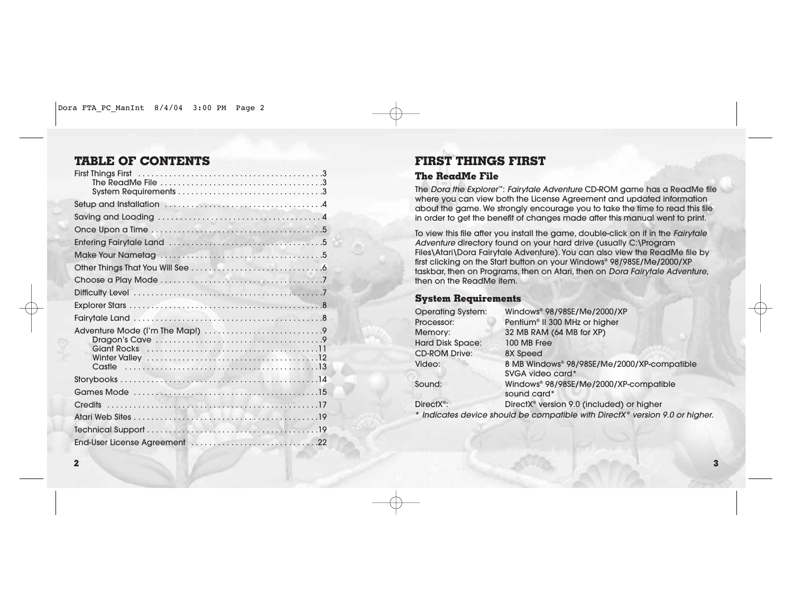# **TABLE OF CONTENTS**

# **FIRST THINGS FIRST**

# **The ReadMe File**

The Dora the Explorer™: Fairytale Adventure CD-ROM game has a ReadMe file where you can view both the License Agreement and updated information about the game. We strongly encourage you to take the time to read this file in order to get the benefit of changes made after this manual went to print.

To view this file after you install the game, double-click on it in the Fairytale Adventure directory found on your hard drive (usually C:\Program Files\Atari\Dora Fairytale Adventure). You can also view the ReadMe file by first clicking on the Start button on your Windows® 98/98SE/Me/2000/XP taskbar, then on Programs, then on Atari, then on Dora Fairytale Adventure, then on the ReadMe item.

# **System Requirements**

| <b>Operating System:</b> | Windows® 98/98SE/Me/2000/XP                                                  |
|--------------------------|------------------------------------------------------------------------------|
| Processor:               | Pentium <sup>®</sup> II 300 MHz or higher                                    |
| Memory:                  | 32 MB RAM (64 MB for XP)                                                     |
| <b>Hard Disk Space:</b>  | 100 MB Free                                                                  |
| <b>CD-ROM Drive:</b>     | 8X Speed                                                                     |
| Video:                   | 8 MB Windows® 98/98SE/Me/2000/XP-compatible                                  |
|                          | SVGA video card*                                                             |
| Sound:                   | Windows® 98/98SE/Me/2000/XP-compatible<br>sound card*                        |
| DirectX <sup>®</sup> :   | DirectX <sup>®</sup> version 9.0 (included) or higher                        |
|                          | * Indicates device should be compatible with DirectX® version 9.0 or higher. |
|                          |                                                                              |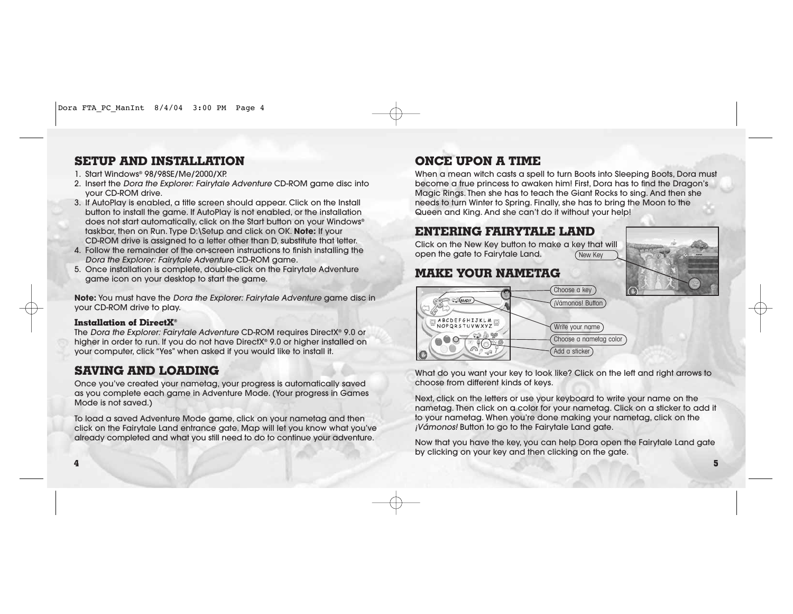# **SETUP AND INSTALLATION**

- 1. Start Windows® 98/98SE/Me/2000/XP.
- 2. Insert the Dora the Explorer: Fairytale Adventure CD-ROM game disc into your CD-ROM drive.
- 3. If AutoPlay is enabled, a title screen should appear. Click on the Install button to install the game. If AutoPlay is not enabled, or the installation does not start automatically, click on the Start button on your Windows® taskbar, then on Run. Type D:\Setup and click on OK. **Note:** If your CD-ROM drive is assigned to a letter other than D, substitute that letter.
- 4. Follow the remainder of the on-screen instructions to finish installing the Dora the Explorer: Fairytale Adventure CD-ROM game.
- 5. Once installation is complete, double-click on the Fairytale Adventure game icon on your desktop to start the game.

**Note:** You must have the Dora the Explorer: Fairytale Adventure game disc in your CD-ROM drive to play.

# **Installation of DirectX®**

The Dora the Explorer: Fairytale Adventure CD-ROM requires DirectX® 9.0 or higher in order to run. If you do not have DirectX® 9.0 or higher installed on your computer, click "Yes" when asked if you would like to install it.

# **SAVING AND LOADING**

Once you've created your nametag, your progress is automatically saved as you complete each game in Adventure Mode. (Your progress in Games Mode is not saved.)

To load a saved Adventure Mode game, click on your nametag and then click on the Fairytale Land entrance gate. Map will let you know what you've already completed and what you still need to do to continue your adventure.

# **ONCE UPON A TIME**

When a mean witch casts a spell to turn Boots into Sleeping Boots, Dora must become a true princess to awaken him! First, Dora has to find the Dragon's Magic Rings. Then she has to teach the Giant Rocks to sing. And then she needs to turn Winter to Spring. Finally, she has to bring the Moon to the Queen and King. And she can't do it without your help!

# **ENTERING FAIRYTALE LAND**

Click on the New Key button to make a key that will open the gate to Fairytale Land. New Key

# **MAKE YOUR NAMETAG**





What do you want your key to look like? Click on the left and right arrows to choose from different kinds of keys.

Next, click on the letters or use your keyboard to write your name on the nametag. Then click on a color for your nametag. Click on a sticker to add it to your nametag. When you're done making your nametag, click on the ¡Vámonos! Button to go to the Fairytale Land gate.

Now that you have the key, you can help Dora open the Fairytale Land gate by clicking on your key and then clicking on the gate.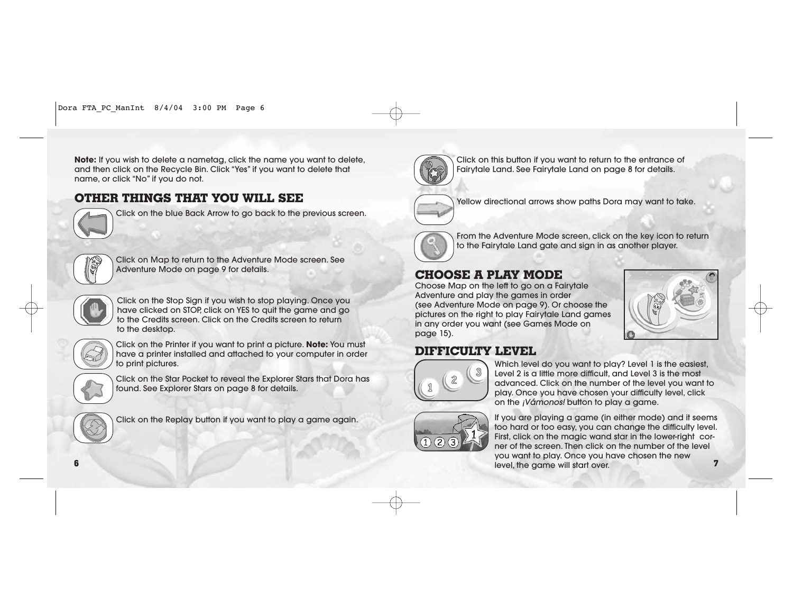**Note:** If you wish to delete a nametag, click the name you want to delete, and then click on the Recycle Bin. Click "Yes" if you want to delete that name, or click "No" if you do not.

# **OTHER THINGS THAT YOU WILL SEE**



Click on the blue Back Arrow to go back to the previous screen.



Click on Map to return to the Adventure Mode screen. See Adventure Mode on page 9 for details.



Click on the Stop Sign if you wish to stop playing. Once you have clicked on STOP, click on YES to quit the game and go to the Credits screen. Click on the Credits screen to return to the desktop.



Click on the Printer if you want to print a picture. **Note:** You must have a printer installed and attached to your computer in order to print pictures.



Click on the Star Pocket to reveal the Explorer Stars that Dora has found. See Explorer Stars on page 8 for details.



Click on the Replay button if you want to play a game again.



Click on this button if you want to return to the entrance of Fairytale Land. See Fairytale Land on page 8 for details.



Yellow directional arrows show paths Dora may want to take.



From the Adventure Mode screen, click on the key icon to return to the Fairytale Land gate and sign in as another player.

# **CHOOSE A PLAY MODE**

Choose Map on the left to go on a Fairytale Adventure and play the games in order (see Adventure Mode on page 9). Or choose the pictures on the right to play Fairytale Land games in any order you want (see Games Mode on page 15).



# **DIFFICULTY LEVEL**



Which level do you want to play? Level 1 is the easiest, Level 2 is a little more difficult, and Level 3 is the most advanced. Click on the number of the level you want to play. Once you have chosen your difficulty level, click on the ¡Vámonos! button to play a game.



If you are playing a game (in either mode) and it seems too hard or too easy, you can change the difficulty level. First, click on the magic wand star in the lower-right corner of the screen. Then click on the number of the level you want to play. Once you have chosen the new level, the game will start over. **<sup>7</sup>**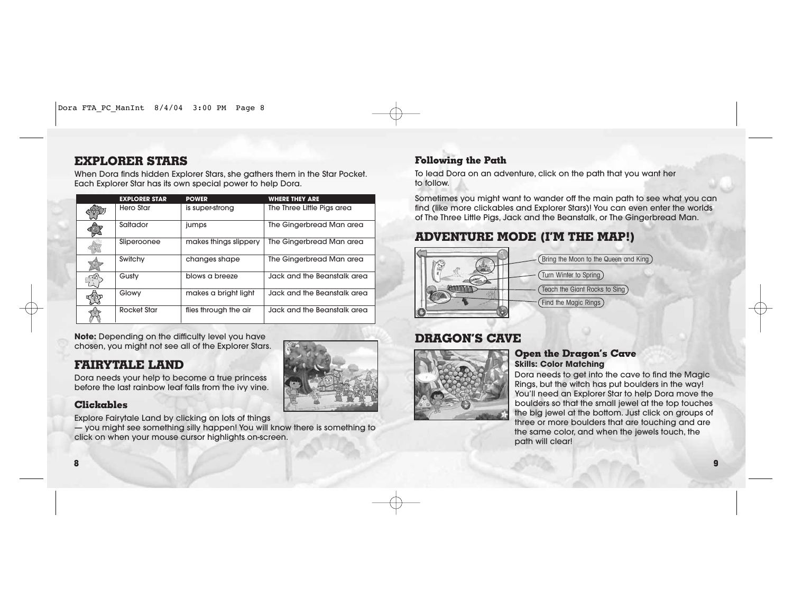**8**

# **EXPLORER STARS**

When Dora finds hidden Explorer Stars, she gathers them in the Star Pocket. Each Explorer Star has its own special power to help Dora.

|    | <b>EXPLORER STAR</b> | <b>POWER</b>          | <b>WHERE THEY ARE</b>       |
|----|----------------------|-----------------------|-----------------------------|
|    | Hero Star            | is super-strong       | The Three Little Pigs area  |
|    | Saltador             | jumps                 | The Gingerbread Man area    |
|    | Sliperoonee          | makes things slippery | The Gingerbread Man area    |
|    | Switchy              | changes shape         | The Gingerbread Man area    |
|    | Gusty                | blows a breeze        | Jack and the Beanstalk area |
| තු | Glowy                | makes a bright light  | Jack and the Beanstalk area |
|    | <b>Rocket Star</b>   | flies through the air | Jack and the Beanstalk area |

**Note:** Depending on the difficulty level you have chosen, you might not see all of the Explorer Stars.

# **FAIRYTALE LAND**

Dora needs your help to become a true princess before the last rainbow leaf falls from the ivy vine.

# **Clickables**

Explore Fairytale Land by clicking on lots of things

— you might see something silly happen! You will know there is something to click on when your mouse cursor highlights on-screen.

# **Following the Path**

To lead Dora on an adventure, click on the path that you want her to follow.

Sometimes you might want to wander off the main path to see what you can find (like more clickables and Explorer Stars)! You can even enter the worlds of The Three Little Pigs, Jack and the Beanstalk, or The Gingerbread Man.

# **ADVENTURE MODE (I'M THE MAP!)**



# **DRAGON'S CAVE**



# **Open the Dragon's Cave Skills: Color Matching**

Dora needs to get into the cave to find the Magic Rings, but the witch has put boulders in the way! You'll need an Explorer Star to help Dora move the boulders so that the small jewel at the top touches the big jewel at the bottom. Just click on groups of three or more boulders that are touching and are the same color, and when the jewels touch, the path will clear!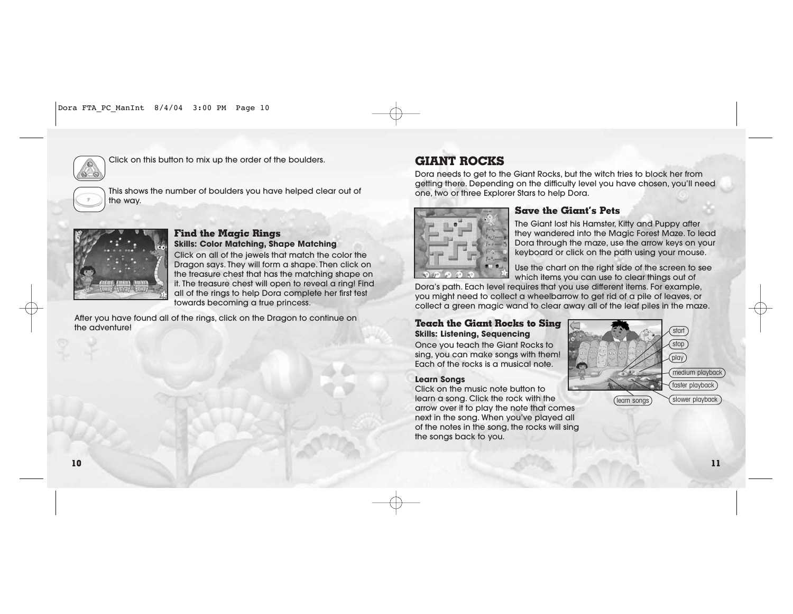

Click on this button to mix up the order of the boulders.

This shows the number of boulders you have helped clear out of the way.



## **Find the Magic Rings Skills: Color Matching, Shape Matching**

Click on all of the jewels that match the color the Dragon says. They will form a shape. Then click on the treasure chest that has the matching shape on it. The treasure chest will open to reveal a ring! Find all of the rings to help Dora complete her first test towards becoming a true princess.

After you have found all of the rings, click on the Dragon to continue on the adventure!

# **GIANT ROCKS**

Dora needs to get to the Giant Rocks, but the witch tries to block her from getting there. Depending on the difficulty level you have chosen, you'll need one, two or three Explorer Stars to help Dora.



# **Save the Giant's Pets**

The Giant lost his Hamster, Kitty and Puppy after they wandered into the Magic Forest Maze. To lead Dora through the maze, use the arrow keys on your keyboard or click on the path using your mouse.

Use the chart on the right side of the screen to see which items you can use to clear things out of

Dora's path. Each level requires that you use different items. For example, you might need to collect a wheelbarrow to get rid of a pile of leaves, or collect a green magic wand to clear away all of the leaf piles in the maze.

# **Teach the Giant Rocks to Sing Skills: Listening, Sequencing**

Once you teach the Giant Rocks to sing, you can make songs with them! Each of the rocks is a musical note.

# **Learn Songs**

Click on the music note button to learn a song. Click the rock with the arrow over it to play the note that comes next in the song. When you've played all of the notes in the song, the rocks will sing the songs back to you.

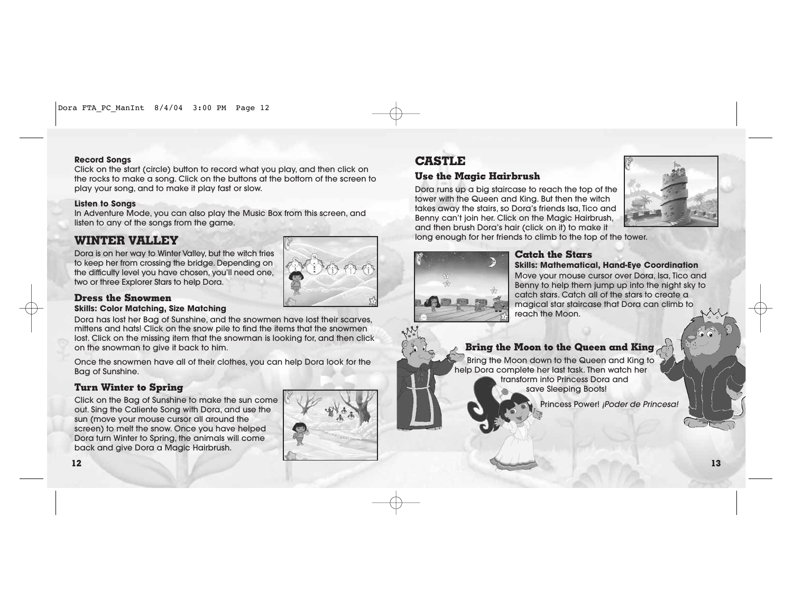## **Record Songs**

Click on the start (circle) button to record what you play, and then click on the rocks to make a song. Click on the buttons at the bottom of the screen to play your song, and to make it play fast or slow.

## **Listen to Songs**

In Adventure Mode, you can also play the Music Box from this screen, and listen to any of the songs from the game.

# **WINTER VALLEY**

Dora is on her way to Winter Valley, but the witch tries to keep her from crossing the bridge. Depending on the difficulty level you have chosen, you'll need one, two or three Explorer Stars to help Dora.

## **Dress the Snowmen Skills: Color Matching, Size Matching**

Dora has lost her Bag of Sunshine, and the snowmen have lost their scarves, mittens and hats! Click on the snow pile to find the items that the snowmen lost. Click on the missing item that the snowman is looking for, and then click on the snowman to give it back to him.

Once the snowmen have all of their clothes, you can help Dora look for the Bag of Sunshine.

# **Turn Winter to Spring**

Click on the Bag of Sunshine to make the sun come out. Sing the Caliente Song with Dora, and use the sun (move your mouse cursor all around the screen) to melt the snow. Once you have helped Dora turn Winter to Spring, the animals will come back and give Dora a Magic Hairbrush.



# **CASTLE**

# **Use the Magic Hairbrush**

Dora runs up a big staircase to reach the top of the tower with the Queen and King. But then the witch takes away the stairs, so Dora's friends Isa, Tico and Benny can't join her. Click on the Magic Hairbrush, and then brush Dora's hair (click on it) to make it



long enough for her friends to climb to the top of the tower.



## **Catch the Stars Skills: Mathematical, Hand-Eye Coordination**

Move your mouse cursor over Dora, Isa, Tico and Benny to help them jump up into the night sky to catch stars. Catch all of the stars to create a magical star staircase that Dora can climb to reach the Moon.

# **Bring the Moon to the Queen and King**

Bring the Moon down to the Queen and King to help Dora complete her last task. Then watch her transform into Princess Dora and save Sleeping Boots!

Princess Power! ¡Poder de Princesa!

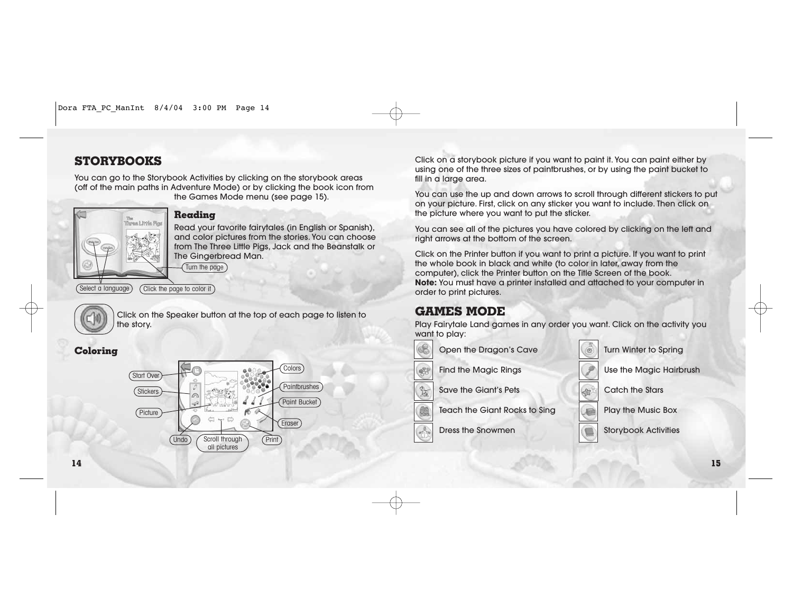# **STORYBOOKS**

You can go to the Storybook Activities by clicking on the storybook areas (off of the main paths in Adventure Mode) or by clicking the book icon from the Games Mode menu (see page 15).



# **Reading**

Read your favorite fairytales (in English or Spanish), and color pictures from the stories. You can choose from The Three Little Pigs, Jack and the Beanstalk or The Gingerbread Man.

Turn the page

Click the page to color it



Click on the Speaker button at the top of each page to listen to the story.

# **Coloring**



Click on a storybook picture if you want to paint it. You can paint either by using one of the three sizes of paintbrushes, or by using the paint bucket to fill in a large area.

You can use the up and down arrows to scroll through different stickers to put on your picture. First, click on any sticker you want to include. Then click on the picture where you want to put the sticker.

You can see all of the pictures you have colored by clicking on the left and right arrows at the bottom of the screen.

Click on the Printer button if you want to print a picture. If you want to print the whole book in black and white (to color in later, away from the computer), click the Printer button on the Title Screen of the book. **Note:** You must have a printer installed and attached to your computer in order to print pictures.

# **GAMES MODE**

Play Fairytale Land games in any order you want. Click on the activity you want to play:



Open the Dragon's Cave

Find the Magic Rings

Save the Giant's Pets

Teach the Giant Rocks to Sing

Dress the Snowmen



Use the Magic Hairbrush

Catch the Stars

Play the Music Box

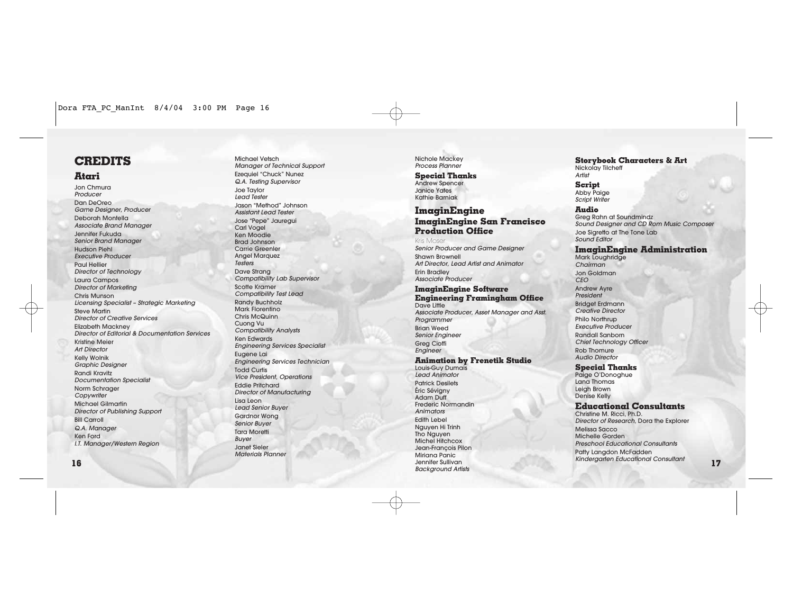# **CREDITS**

# **Atari**

Jon Chmura **Producer** Dan DeOreo Game Designer, Producer Deborah Montella Associate Brand Manager Jennifer Fukuda Senior Brand Manager Hudson Piehl Executive Producer Paul Hellier Director of Technology Laura Campos Director of Marketing Chris Munson Licensing Specialist – Strategic Marketing Steve Martin Director of Creative Services Elizabeth Mackney Director of Editorial & Documentation Services Kristine Meier Art Director Kelly Wolnik Graphic Designer Randi Kravitz Documentation Specialist Norm Schrager **Copywriter** Michael Gilmartin Director of Publishing Support Bill Carroll Q.A. Manager Ken Ford I.T. Manager/Western Region

Michael Vetsch Manager of Technical Support Ezequiel "Chuck" Nunez Q.A. Testing Supervisor Joe Taylor Lead Tester Jason "Method" Johnson Assistant Lead Tester Jose "Pepe" Jauregui Carl Vogel Ken Moodie Brad Johnson Carrie Greenler Angel Marquez Testers Dave Strang Compatibility Lab Supervisor Scotte Kramer Compatibility Test Lead Randy Buchholz Mark Florentino Chris McQuinn Cuong Vu Compatibility Analysts Ken Edwards Engineering Services Specialist Eugene Lai Engineering Services Technician Todd Curtis Vice President, Operations Eddie Pritchard Director of Manufacturing Lisa Leon Lead Senior Buyer Gardnor Wong Senior Buyer Tara Moretti Buyer Janet Sieler Materials Planner

Nichole Mackey Process Planner

### **Special Thanks**

Andrew Spencer Janice Yates Kathie Barniak

## **ImaginEngine ImaginEngine San Francisco Production Office**

### Kris Moser

Senior Producer and Game Designer Shawn Brownell Art Director, Lead Artist and Animator Erin Bradley

Associate Producer

### **ImaginEngine Software Engineering Framingham Office**  Dave Little

Associate Producer, Asset Manager and Asst. Programmer Brian Weed Senior Engineer Greg Cioffi Engineer

### **Animation by Frenetik Studio**

Louis-Guy Dumais Lead Animator Patrick Desilets Éric Sévigny Adam Duff Frederic Normandin Animators Edith Lebel Nguyen Hi Trinh Tho Nauven Michel Hitchcox Jean-François Pilon Miriana Panic Jennifer Sullivan Background Artists

**Storybook Characters & Art** Nickolay Tilcheff Artist

**Script** Abby Paige Script Writer

### **Audio**

Greg Rahn at Soundmindz Sound Designer and CD Rom Music Composer Joe Sigretto at The Tone Lab Sound Editor

### **ImaginEngine Administration**

Mark Loughridge Chairman Jon Goldman CEO Andrew Ayre President Bridget Erdmann Creative Director Philo Northrup Executive Producer Randall Sanborn Chief Technology Officer Rob Thomure Audio Director

### **Special Thanks**

Paige O'Donoghue Lana Thomas Leigh Brown Denise Kelly

## **Educational Consultants**

Christine M. Ricci, Ph.D. Director of Research, Dora the Explorer Melissa Sacco Michelle Gorden Preschool Educational Consultants Patty Langdon McFadden Kindergarten Educational Consultant **<sup>17</sup>**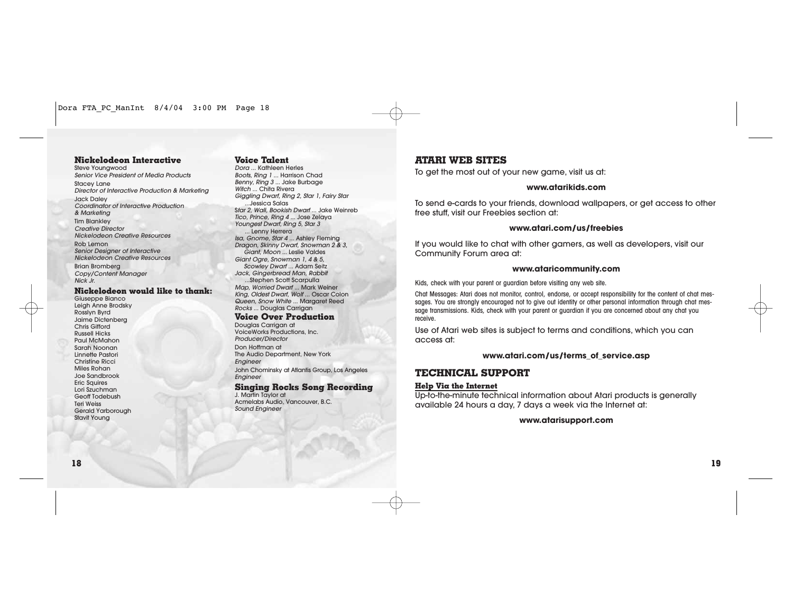## **Nickelodeon Interactive**

Steve Youngwood Senior Vice President of Media Products Stacey Lane Director of Interactive Production & Marketing Jack Daley Coordinator of Interactive Production & Marketing **Tim Blankley** Creative Director Nickelodeon Creative Resources Rob Lemon Senior Designer of Interactive Nickelodeon Creative Resources Brian Bromberg Copy/Content Manager Nick Jr.

### **Nickelodeon would like to thank:**

Giuseppe Bianco Leigh Anne Brodsky Rosslyn Byrd Jaime Dictenberg Chris Gifford Russell Hicks Paul McMahon Sarah Noonan Linnette Pastori Christine Ricci Miles Rohan Joe Sandbrook Eric Squires Lori Szuchman Geoff Todebush Teri Weiss Gerald Yarborough Stavit Young

### **Voice Talent**

Dora ... Kathleen Herles Boots, Ring 1 ... Harrison Chad Benny, Ring 3 ... Jake Burbage Witch ... Chita Rivera Giggling Dwarf, Ring 2, Star 1, Fairy Star ...Jessica Salas Star 2, Wall, Bookish Dwarf ... Jake Weinreb Tico, Prince, Ring 4 ... Jose Zelaya Youngest Dwarf, Ring 5, Star 3 **Lenny Herrera** Isa, Gnome, Star 4 ... Ashley Fleming Dragon, Skinny Dwarf, Snowman 2 & 3, Giant, Moon ... Leslie Valdes Giant Ogre, Snowman 1, 4 & 5. Scowley Dwarf ... Adam Seitz Jack, Gingerbread Man, Rabbit ...Stephen Scott Scarpulla Map, Worried Dwarf ... Mark Weiner King, Oldest Dwarf, Wolf ... Oscar Colon Queen, Snow White ... Margaret Reed Rocks ... Douglas Carrigan **Voice Over Production**

Douglas Carrigan at VoiceWorks Productions, Inc. Producer/Director

Don Hoffman at The Audio Department, New York **Engineer** John Chominsky at Atlantis Group, Los Angeles

Engineer

## **Singing Rocks Song Recording**

J. Martin Taylor at Acmelabs Audio, Vancouver, B.C. Sound Engineer

# **ATARI WEB SITES**

To get the most out of your new game, visit us at:

## **www.atarikids.com**

To send e-cards to your friends, download wallpapers, or get access to other free stuff, visit our Freebies section at:

## **www.atari.com/us/freebies**

If you would like to chat with other gamers, as well as developers, visit our Community Forum area at:

### **www.ataricommunity.com**

Kids, check with your parent or guardian before visiting any web site.

Chat Messages: Atari does not monitor, control, endorse, or accept responsibility for the content of chat messages. You are strongly encouraged not to give out identity or other personal information through chat message transmissions. Kids, check with your parent or guardian if you are concerned about any chat you receive.

Use of Atari web sites is subject to terms and conditions, which you can access at:

## **www.atari.com/us/terms\_of\_service.asp**

# **TECHNICAL SUPPORT**

### **Help Via the Internet**

Up-to-the-minute technical information about Atari products is generally available 24 hours a day, 7 days a week via the Internet at:

**www.atarisupport.com**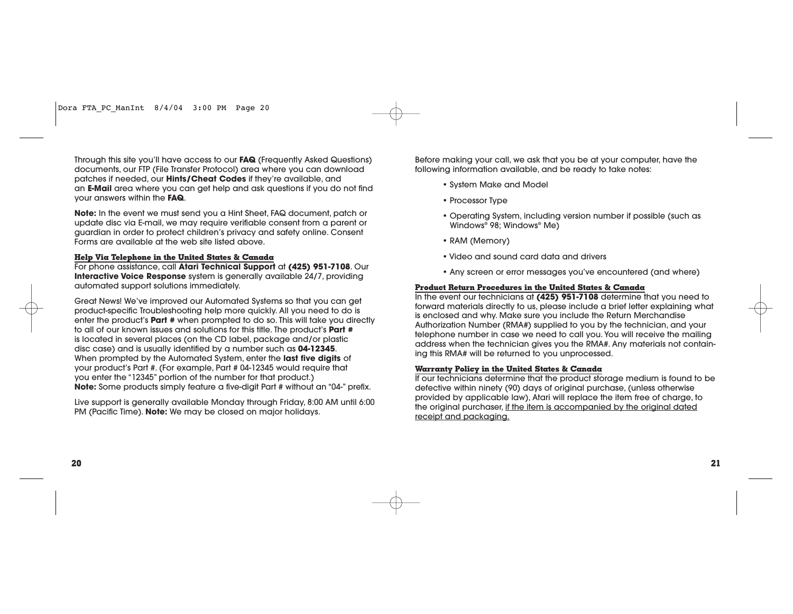Through this site you'll have access to our **FAQ** (Frequently Asked Questions) documents, our FTP (File Transfer Protocol) area where you can download patches if needed, our **Hints/Cheat Codes** if they're available, and an **E-Mail** area where you can get help and ask questions if you do not find your answers within the **FAQ**.

**Note:** In the event we must send you a Hint Sheet, FAQ document, patch or update disc via E-mail, we may require verifiable consent from a parent or guardian in order to protect children's privacy and safety online. Consent Forms are available at the web site listed above.

## **Help Via Telephone in the United States & Canada**

For phone assistance, call **Atari Technical Support** at **(425) 951-7108**. Our **Interactive Voice Response** system is generally available 24/7, providing automated support solutions immediately.

Great News! We've improved our Automated Systems so that you can get product-specific Troubleshooting help more quickly. All you need to do is enter the product's **Part #** when prompted to do so. This will take you directly to all of our known issues and solutions for this title. The product's **Part #** is located in several places (on the CD label, package and/or plastic disc case) and is usually identified by a number such as **04-12345**. When prompted by the Automated System, enter the **last five digits** of your product's Part #. (For example, Part # 04-12345 would require that you enter the "12345" portion of the number for that product.) **Note:** Some products simply feature a five-digit Part # without an "04-" prefix.

Live support is generally available Monday through Friday, 8:00 AM until 6:00 PM (Pacific Time). **Note:** We may be closed on major holidays.

Before making your call, we ask that you be at your computer, have the following information available, and be ready to take notes:

- System Make and Model
- Processor Type
- Operating System, including version number if possible (such as Windows® 98; Windows® Me)
- RAM (Memory)
- Video and sound card data and drivers
- Any screen or error messages you've encountered (and where)

## **Product Return Procedures in the United States & Canada**

In the event our technicians at **(425) 951-7108** determine that you need to forward materials directly to us, please include a brief letter explaining what is enclosed and why. Make sure you include the Return Merchandise Authorization Number (RMA#) supplied to you by the technician, and your telephone number in case we need to call you. You will receive the mailing address when the technician gives you the RMA#. Any materials not containing this RMA# will be returned to you unprocessed.

### **Warranty Policy in the United States & Canada**

If our technicians determine that the product storage medium is found to be defective within ninety (90) days of original purchase, (unless otherwise provided by applicable law), Atari will replace the item free of charge, to the original purchaser, if the item is accompanied by the original dated receipt and packaging.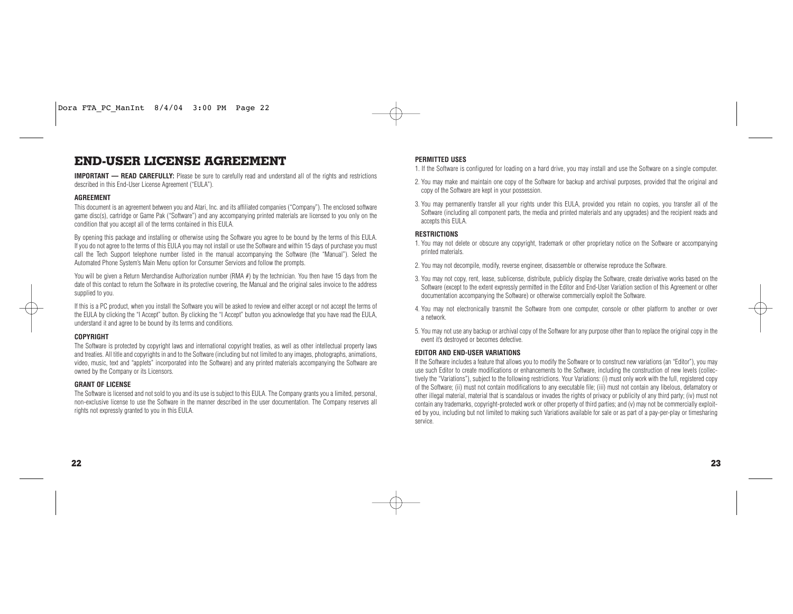# **END-USER LICENSE AGREEMENT**

**IMPORTANT — READ CAREFULLY:** Please be sure to carefully read and understand all of the rights and restrictions described in this End-User License Agreement ("EULA").

## **AGREEMENT**

This document is an agreement between you and Atari, Inc. and its affiliated companies ("Company"). The enclosed software game disc(s), cartridge or Game Pak ("Software") and any accompanying printed materials are licensed to you only on the condition that you accept all of the terms contained in this EULA.

By opening this package and installing or otherwise using the Software you agree to be bound by the terms of this EULA. If you do not agree to the terms of this EULA you may not install or use the Software and within 15 days of purchase you must call the Tech Support telephone number listed in the manual accompanying the Software (the "Manual"). Select the Automated Phone System's Main Menu option for Consumer Services and follow the prompts.

You will be given a Return Merchandise Authorization number (RMA #) by the technician. You then have 15 days from the date of this contact to return the Software in its protective covering, the Manual and the original sales invoice to the address supplied to you.

If this is a PC product, when you install the Software you will be asked to review and either accept or not accept the terms of the EULA by clicking the "I Accept" button. By clicking the "I Accept" button you acknowledge that you have read the EULA, understand it and agree to be bound by its terms and conditions.

### **COPYRIGHT**

The Software is protected by copyright laws and international copyright treaties, as well as other intellectual property laws and treaties. All title and copyrights in and to the Software (including but not limited to any images, photographs, animations, video, music, text and "applets" incorporated into the Software) and any printed materials accompanying the Software are owned by the Company or its Licensors.

## **GRANT OF LICENSE**

The Software is licensed and not sold to you and its use is subject to this EULA. The Company grants you a limited, personal, non-exclusive license to use the Software in the manner described in the user documentation. The Company reserves all rights not expressly granted to you in this EULA.

## **PERMITTED USES**

1. If the Software is configured for loading on a hard drive, you may install and use the Software on a single computer.

- 2. You may make and maintain one copy of the Software for backup and archival purposes, provided that the original and copy of the Software are kept in your possession.
- 3. You may permanently transfer all your rights under this EULA, provided you retain no copies, you transfer all of the Software (including all component parts, the media and printed materials and any upgrades) and the recipient reads and accepts this EULA.

## **RESTRICTIONS**

- 1. You may not delete or obscure any copyright, trademark or other proprietary notice on the Software or accompanying printed materials.
- 2. You may not decompile, modify, reverse engineer, disassemble or otherwise reproduce the Software.
- 3. You may not copy, rent, lease, sublicense, distribute, publicly display the Software, create derivative works based on the Software (except to the extent expressly permitted in the Editor and End-User Variation section of this Agreement or other documentation accompanying the Software) or otherwise commercially exploit the Software.
- 4. You may not electronically transmit the Software from one computer, console or other platform to another or over a network.
- 5. You may not use any backup or archival copy of the Software for any purpose other than to replace the original copy in the event it's destroyed or becomes defective.

## **EDITOR AND END-USER VARIATIONS**

If the Software includes a feature that allows you to modify the Software or to construct new variations (an "Editor"), you may use such Editor to create modifications or enhancements to the Software, including the construction of new levels (collectively the "Variations"), subject to the following restrictions. Your Variations: (i) must only work with the full, registered copy of the Software; (ii) must not contain modifications to any executable file; (iii) must not contain any libelous, defamatory or other illegal material, material that is scandalous or invades the rights of privacy or publicity of any third party; (iv) must not contain any trademarks, copyright-protected work or other property of third parties; and (v) may not be commercially exploited by you, including but not limited to making such Variations available for sale or as part of a pay-per-play or timesharing service.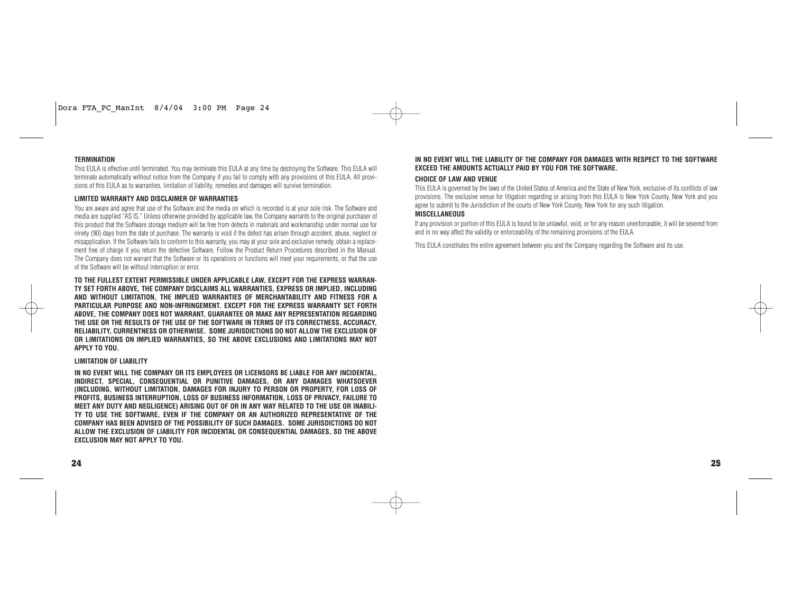## **TERMINATION**

This EULA is effective until terminated. You may terminate this EULA at any time by destroying the Software. This EULA will terminate automatically without notice from the Company if you fail to comply with any provisions of this EULA. All provisions of this EULA as to warranties, limitation of liability, remedies and damages will survive termination.

### **LIMITED WARRANTY AND DISCLAIMER OF WARRANTIES**

You are aware and agree that use of the Software and the media on which is recorded is at your sole risk. The Software and media are supplied "AS IS." Unless otherwise provided by applicable law, the Company warrants to the original purchaser of this product that the Software storage medium will be free from defects in materials and workmanship under normal use for ninety (90) days from the date of purchase. The warranty is void if the defect has arisen through accident, abuse, neglect or misapplication. If the Software fails to conform to this warranty, you may at your sole and exclusive remedy, obtain a replacement free of charge if you return the defective Software. Follow the Product Return Procedures described in the Manual. The Company does not warrant that the Software or its operations or functions will meet your requirements, or that the use of the Software will be without interruption or error.

**TO THE FULLEST EXTENT PERMISSIBLE UNDER APPLICABLE LAW, EXCEPT FOR THE EXPRESS WARRAN-TY SET FORTH ABOVE, THE COMPANY DISCLAIMS ALL WARRANTIES, EXPRESS OR IMPLIED, INCLUDING AND WITHOUT LIMITATION, THE IMPLIED WARRANTIES OF MERCHANTABILITY AND FITNESS FOR A PARTICULAR PURPOSE AND NON-INFRINGEMENT. EXCEPT FOR THE EXPRESS WARRANTY SET FORTH ABOVE, THE COMPANY DOES NOT WARRANT, GUARANTEE OR MAKE ANY REPRESENTATION REGARDING THE USE OR THE RESULTS OF THE USE OF THE SOFTWARE IN TERMS OF ITS CORRECTNESS, ACCURACY, RELIABILITY, CURRENTNESS OR OTHERWISE. SOME JURISDICTIONS DO NOT ALLOW THE EXCLUSION OF OR LIMITATIONS ON IMPLIED WARRANTIES, SO THE ABOVE EXCLUSIONS AND LIMITATIONS MAY NOT APPLY TO YOU.**

### **LIMITATION OF LIABILITY**

**IN NO EVENT WILL THE COMPANY OR ITS EMPLOYEES OR LICENSORS BE LIABLE FOR ANY INCIDENTAL, INDIRECT, SPECIAL, CONSEQUENTIAL OR PUNITIVE DAMAGES, OR ANY DAMAGES WHATSOEVER (INCLUDING, WITHOUT LIMITATION, DAMAGES FOR INJURY TO PERSON OR PROPERTY, FOR LOSS OF PROFITS, BUSINESS INTERRUPTION, LOSS OF BUSINESS INFORMATION, LOSS OF PRIVACY, FAILURE TO MEET ANY DUTY AND NEGLIGENCE) ARISING OUT OF OR IN ANY WAY RELATED TO THE USE OR INABILI-TY TO USE THE SOFTWARE, EVEN IF THE COMPANY OR AN AUTHORIZED REPRESENTATIVE OF THE COMPANY HAS BEEN ADVISED OF THE POSSIBILITY OF SUCH DAMAGES. SOME JURISDICTIONS DO NOT ALLOW THE EXCLUSION OF LIABILITY FOR INCIDENTAL OR CONSEQUENTIAL DAMAGES, SO THE ABOVE EXCLUSION MAY NOT APPLY TO YOU.**

### **IN NO EVENT WILL THE LIABILITY OF THE COMPANY FOR DAMAGES WITH RESPECT TO THE SOFTWARE EXCEED THE AMOUNTS ACTUALLY PAID BY YOU FOR THE SOFTWARE.**

### **CHOICE OF LAW AND VENUE**

This EULA is governed by the laws of the United States of America and the State of New York, exclusive of its conflicts of law provisions. The exclusive venue for litigation regarding or arising from this EULA is New York County, New York and you agree to submit to the Jurisdiction of the courts of New York County, New York for any such litigation.

### **MISCELLANEOUS**

If any provision or portion of this EULA is found to be unlawful, void, or for any reason unenforceable, it will be severed from and in no way affect the validity or enforceability of the remaining provisions of the EULA.

This EULA constitutes the entire agreement between you and the Company regarding the Software and its use.